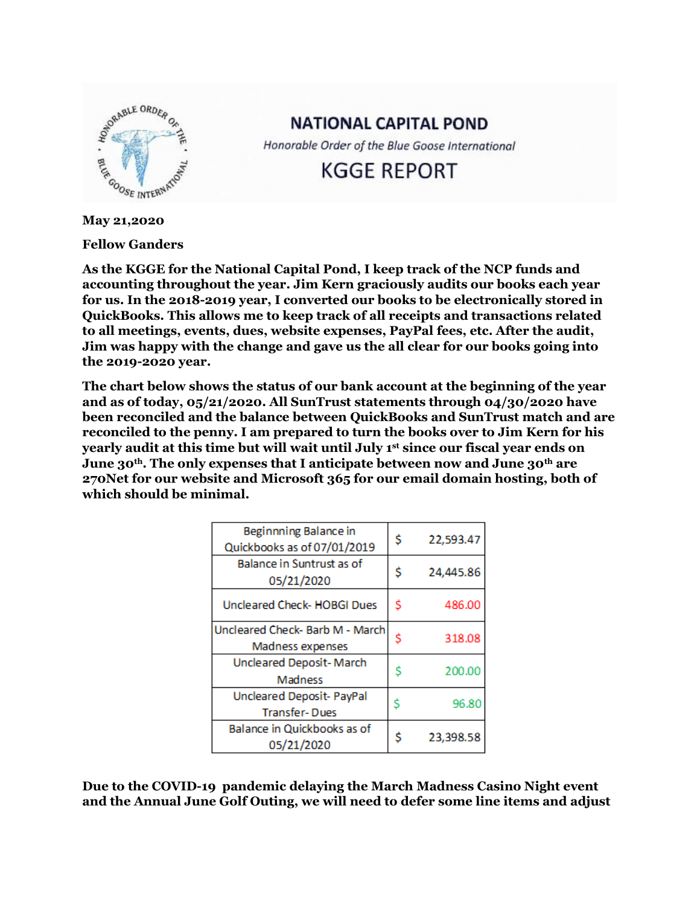

**NATIONAL CAPITAL POND** 

Honorable Order of the Blue Goose International

**KGGE REPORT** 

**May 21,2020**

**Fellow Ganders**

**As the KGGE for the National Capital Pond, I keep track of the NCP funds and accounting throughout the year. Jim Kern graciously audits our books each year for us. In the 2018-2019 year, I converted our books to be electronically stored in QuickBooks. This allows me to keep track of all receipts and transactions related to all meetings, events, dues, website expenses, PayPal fees, etc. After the audit, Jim was happy with the change and gave us the all clear for our books going into the 2019-2020 year.** 

**The chart below shows the status of our bank account at the beginning of the year and as of today, 05/21/2020. All SunTrust statements through 04/30/2020 have been reconciled and the balance between QuickBooks and SunTrust match and are reconciled to the penny. I am prepared to turn the books over to Jim Kern for his yearly audit at this time but will wait until July 1st since our fiscal year ends on June 30th. The only expenses that I anticipate between now and June 30th are 270Net for our website and Microsoft 365 for our email domain hosting, both of which should be minimal.** 

| Beginnning Balance in<br>Quickbooks as of 07/01/2019 | \$ | 22,593.47 |
|------------------------------------------------------|----|-----------|
| <b>Balance in Suntrust as of</b><br>05/21/2020       | \$ | 24,445.86 |
| Uncleared Check- HOBGI Dues                          | Ś  | 486.00    |
| Uncleared Check- Barb M - March<br>Madness expenses  |    | 318.08    |
| <b>Uncleared Deposit-March</b><br>Madness            | S  | 200.00    |
| Uncleared Deposit- PayPal<br><b>Transfer-Dues</b>    |    | 96.80     |
| Balance in Quickbooks as of<br>05/21/2020            | S  | 23,398.58 |

**Due to the COVID-19 pandemic delaying the March Madness Casino Night event and the Annual June Golf Outing, we will need to defer some line items and adjust**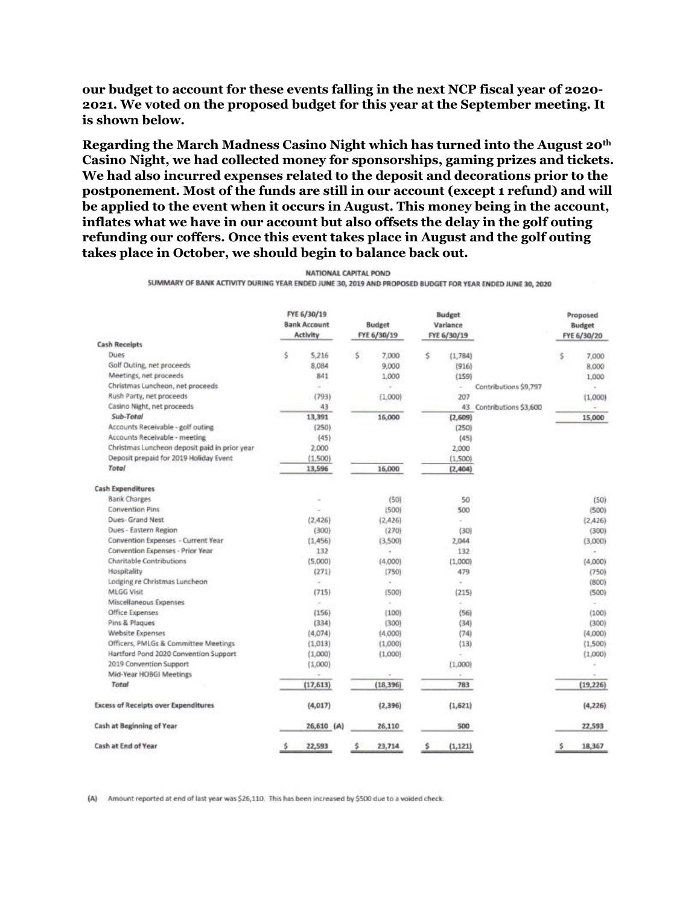**our budget to account for these events falling in the next NCP fiscal year of 2020- 2021. We voted on the proposed budget for this year at the September meeting. It is shown below.**

**Regarding the March Madness Casino Night which has turned into the August 20th Casino Night, we had collected money for sponsorships, gaming prizes and tickets. We had also incurred expenses related to the deposit and decorations prior to the postponement. Most of the funds are still in our account (except 1 refund) and will be applied to the event when it occurs in August. This money being in the account, inflates what we have in our account but also offsets the delay in the golf outing refunding our coffers. Once this event takes place in August and the golf outing takes place in October, we should begin to balance back out.** 

|  | NATIONAL CAPITAL POND |  |
|--|-----------------------|--|
|  |                       |  |

SUMMARY OF BANK ACTIVITY DURING YEAR ENDED JUNE 30, 2019 AND PROPOSED BUDGET FOR YEAR ENDED JUNE 30, 2020

|                                               |   | FYE 6/30/19<br><b>Bank Account</b><br>Activity | <b>Budget</b><br>FYE 6/30/19 |    | <b>Budget</b><br>Variance<br>FYE 6/30/19 |                          |   | Proposed<br><b>Budget</b><br>FYE 6/30/20 |
|-----------------------------------------------|---|------------------------------------------------|------------------------------|----|------------------------------------------|--------------------------|---|------------------------------------------|
| <b>Cash Receipts</b>                          |   |                                                |                              |    |                                          |                          |   |                                          |
| Dues.                                         | Š | 5,216                                          | \$<br>7,000                  | \$ | (1,784)                                  |                          | Ś | 7,000                                    |
| Golf Outing, net proceeds                     |   | 8,084                                          | 9,000                        |    | (916)                                    |                          |   | 8.000                                    |
| Meetings, net proceeds                        |   | 841                                            | 1,000                        |    | (159)                                    |                          |   | 1,000                                    |
| Christmas Luncheon, net proceeds              |   | s                                              | w                            |    | ÷                                        | Contributions \$9,797    |   |                                          |
| Rush Party, net proceeds                      |   | (793)                                          | (1,000)                      |    | 207                                      |                          |   | (1,000)                                  |
| Casino Night, net proceeds                    |   | 43                                             |                              |    |                                          | 43 Contributions \$3,600 |   |                                          |
| Sub-Total                                     |   | 13,391                                         | 16,000                       |    | (2,609)                                  |                          |   | 15,000                                   |
| Accounts Receivable - golf outing             |   | (250)                                          |                              |    | (250)                                    |                          |   |                                          |
| Accounts Receivable - meeting                 |   | (45)                                           |                              |    | (45)                                     |                          |   |                                          |
| Christmas Luncheon deposit paid in prior year |   | 2,000                                          |                              |    | 2,000                                    |                          |   |                                          |
| Deposit prepaid for 2019 Holiday Event        |   | (1.500)                                        |                              |    | (1.500)                                  |                          |   |                                          |
| Total                                         |   | 13,596                                         | 16,000                       |    | (2,404)                                  |                          |   |                                          |
| <b>Cash Expenditures</b>                      |   |                                                |                              |    |                                          |                          |   |                                          |
| <b>Bank Charges</b>                           |   | $\sim$                                         | (50)                         |    | 50                                       |                          |   | (50)                                     |
| <b>Convention Pins</b>                        |   |                                                | (500)                        |    | 500                                      |                          |   | (500)                                    |
| Dues- Grand Nest                              |   | (2.426)                                        | (2,426)                      |    | U.                                       |                          |   | (2,426)                                  |
| Dues - Eastern Region                         |   | (300)                                          | (270)                        |    | (30)                                     |                          |   | (300)                                    |
| Convention Expenses - Current Year            |   | (1,456)                                        | (3.500)                      |    | 2.044                                    |                          |   | (3,000)                                  |
| Convention Expenses - Prior Year              |   | 132                                            | ×                            |    | 132                                      |                          |   |                                          |
| Charitable Contributions                      |   | (5,000)                                        | (4,000)                      |    | (1.000)                                  |                          |   | (4,000)                                  |
| Hospitality                                   |   | (271)                                          | (750)                        |    | 479                                      |                          |   | (750)                                    |
| Lodging re Christmas Luncheon                 |   | $\sim$                                         | $\sim$                       |    | ×.                                       |                          |   | (800)                                    |
| <b>MLGG Visit</b>                             |   | (715)                                          | (500)                        |    | (215)                                    |                          |   | (500)                                    |
| Miscellaneous Expenses                        |   | $\sim$                                         | $\sim$                       |    | ÷.                                       |                          |   |                                          |
| Office Expenses                               |   | (156)                                          | (100)                        |    | (56)                                     |                          |   | (100)                                    |
| Pins & Plaques                                |   | (334)                                          | (300)                        |    | (34)                                     |                          |   | (300)                                    |
| Website Expenses                              |   | (4,074)                                        | (4,000)                      |    | (74)                                     |                          |   | (4,000)                                  |
| Officers, PMLGs & Committee Meetings          |   | (1,013)                                        | (1,000)                      |    | (13)                                     |                          |   | (1,500)                                  |
| Hartford Pond 2020 Convention Support         |   | (1,000)                                        | (1,000)                      |    |                                          |                          |   | (1,000)                                  |
| 2019 Convention Support                       |   | (1,000)                                        |                              |    | (1.000)                                  |                          |   | $\omega$                                 |
| Mid-Year HOBGI Meetings                       |   |                                                |                              |    | ÷                                        |                          |   | $\sim$                                   |
| Total                                         |   | (17, 613)                                      | (18, 396)                    |    | 783                                      |                          |   | (19, 226)                                |
| <b>Excess of Receipts over Expenditures</b>   |   | (4,017)                                        | (2, 396)                     |    | (1,621)                                  |                          |   | (4, 226)                                 |
| Cash at Beginning of Year                     |   | 26,610 (A)                                     | 26,110                       |    | 500                                      |                          |   | 22,593                                   |
| Cash at End of Year                           | s | 22,593                                         | \$<br>23,714                 | Ś  | (1, 121)                                 |                          | s | 18,367                                   |

(A) Amount reported at end of last year was \$26,110. This has been increased by \$500 due to a voided check.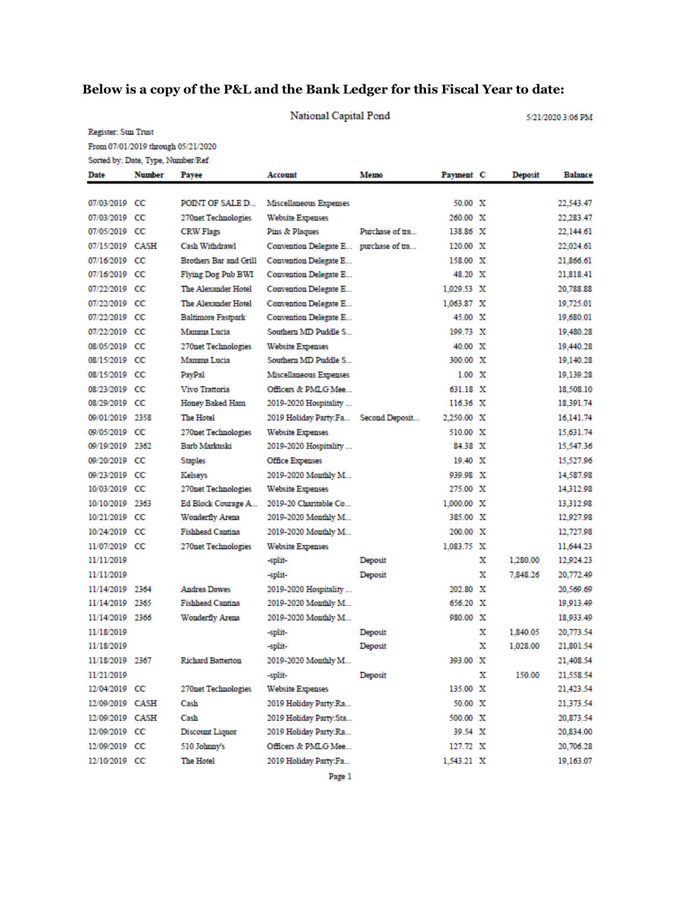## **Below is a copy of the P&L and the Bank Ledger for this Fiscal Year to date:**

|                          | National Capital Pond<br>5/21/2020 3:06 PM |                                    |                                       |                    |                   |        |                      |                        |
|--------------------------|--------------------------------------------|------------------------------------|---------------------------------------|--------------------|-------------------|--------|----------------------|------------------------|
| Register: Sun Trust      |                                            |                                    |                                       |                    |                   |        |                      |                        |
|                          |                                            | From 07/01/2019 through 05/21/2020 |                                       |                    |                   |        |                      |                        |
|                          | Sorted by: Date, Type, Number/Ref          |                                    |                                       |                    |                   |        |                      |                        |
| Date                     | <b>Number</b>                              | Payee                              | Account                               | Memo               | Payment C         |        | <b>Deposit</b>       | <b>Balance</b>         |
|                          |                                            |                                    |                                       |                    |                   |        |                      |                        |
| 07/03/2019 CC            |                                            | POINT OF SALE D                    | Miscellaneous Expenses                |                    | 50.00 X           |        |                      | 22,543.47              |
| 07/03/2019 CC            |                                            | 270net Technologies                | <b>Website Expenses</b>               |                    | 260.00 X          |        |                      | 22,283.47              |
| 07/05/2019 CC            |                                            | <b>CRW Flags</b>                   | Pins & Plaques                        | Purchase of tra    | 138.86 X          |        |                      | 22,144.61              |
| 07/15/2019 CASH          |                                            | Cash Withdrawl                     | Convention Delegate E purchase of tra |                    | 120.00 X          |        |                      | 22,024.61              |
| 07/16/2019 CC            |                                            | Brothers Bar and Grill             | Convention Delegate E                 |                    | 158.00 X          |        |                      | 21,866.61              |
| 07/16/2019 CC            |                                            | Flying Dog Pub BWI                 | Convention Delegate E                 |                    | 48.20 X           |        |                      | 21,818.41              |
| 07/22/2019 CC            |                                            | The Alexander Hotel                | Convention Delegate E                 |                    | 1,029.53 X        |        |                      | 20,788.88              |
| 07/22/2019 CC            |                                            | The Alexander Hotel                | Convention Delegate E                 |                    | $1,063.87$ X      |        |                      | 19,725.01              |
| 07/22/2019 CC            |                                            | <b>Baltimore Fastpark</b>          | Convention Delegate E                 |                    | 45.00 X           |        |                      | 19,680.01              |
| 07/22/2019 CC            |                                            | Mamma Lucia                        | Southern MD Puddle S                  |                    | 199.73 X          |        |                      | 19,480.28              |
| 08/05/2019 CC            |                                            | 270net Technologies                | <b>Website Expenses</b>               |                    | 40.00 X           |        |                      | 19,440.28              |
| 08/15/2019 CC            |                                            | Mamma Lucia                        | Southern MD Puddle S                  |                    | 300.00 X          |        |                      | 19,140.28              |
| 08/15/2019 CC            |                                            | PayPal                             | Miscellaneous Expenses                |                    | $1.00 \times$     |        |                      | 19,139.28              |
| 08/23/2019 CC            |                                            | Vivo Trattoria                     | Officers & PMLG Mee                   |                    | 631.18 X          |        |                      | 18,508.10              |
| 08/29/2019 CC            |                                            | <b>Honey Baked Ham</b>             | 2019-2020 Hospitality                 |                    | $116.36 \t X$     |        |                      | 18,391.74              |
| 09/01/2019 2358          |                                            | <b>The Hotel</b>                   | 2019 Holiday Party Fa Second Deposit  |                    | 2,250.00 X        |        |                      | 16,141.74              |
| 09/05/2019 CC            |                                            | 270net Technologies                | <b>Website Expenses</b>               |                    | 510.00 X          |        |                      | 15,631.74              |
| 09/19/2019 2362          |                                            | Barb Markuski                      | 2019-2020 Hospitality                 |                    | 84.38 X           |        |                      | 15,547.36              |
| 09/20/2019 CC            |                                            | <b>Staples</b>                     | <b>Office Expenses</b>                |                    | $19.40 \times$    |        |                      | 15,527.96              |
| 09/23/2019 CC            |                                            | Kelseys                            | 2019-2020 Monthly M                   |                    | 939.98 X          |        |                      | 14,587.98              |
| 10/03/2019 CC            |                                            | <b>270net Technologies</b>         | <b>Website Expenses</b>               |                    | 275.00 X          |        |                      | 14,312.98              |
| 10/10/2019 2363          |                                            | Ed Block Courage A                 | 2019-20 Charitable Co                 |                    | $1,000.00 \times$ |        |                      | 13,312.98              |
| 10/21/2019 CC            |                                            | <b>Wonderfly Arena</b>             | 2019-2020 Monthly M                   |                    | 385.00 X          |        |                      | 12,927.98              |
| 10/24/2019 CC            |                                            | Fishhead Cantina                   | 2019-2020 Monthly M                   |                    | 200.00 X          |        |                      | 12,727.98              |
| 11/07/2019 CC            |                                            | 270net Technologies                | <b>Website Expenses</b>               |                    | 1,083.75 X        |        |                      | 11,644.23              |
| 11/11/2019               |                                            |                                    | -split-                               | Deposit            |                   | x      | 1,280.00             | 12,924.23              |
| 11/11/2019               |                                            |                                    | -split-                               | Deposit            |                   | x      | 7,848.26             | 20,772.49              |
| 11/14/2019 2364          |                                            | <b>Andrea Dawes</b>                | 2019-2020 Hospitality                 |                    | 202.80 X          |        |                      | 20,569.69              |
| 11/14/2019 2365          |                                            | <b>Fishhead Cantina</b>            | 2019-2020 Monthly M                   |                    | 656.20 X          |        |                      | 19.913.49              |
| 11/14/2019 2366          |                                            | Wonderfly Arena                    | 2019-2020 Monthly M                   |                    | 980.00 X          |        |                      | 18,933.49              |
|                          |                                            |                                    |                                       |                    |                   |        |                      |                        |
| 11/18/2019<br>11/18/2019 |                                            |                                    | -split-<br>-split-                    | Deposit<br>Deposit |                   | х<br>х | 1,840.05<br>1,028.00 | 20,773.54<br>21,801.54 |
|                          |                                            | <b>Richard Batterton</b>           | 2019-2020 Monthly M                   |                    | 393.00 X          |        |                      |                        |
| 11/18/2019 2367          |                                            |                                    |                                       |                    |                   |        |                      | 21,408.54              |
| 11/21/2019               |                                            |                                    | -split-                               | Deposit            |                   | х      | 150.00               | 21,558.54              |
| 12/04/2019 CC            |                                            | 270net Technologies                | <b>Website Expenses</b>               |                    | 135.00 X          |        |                      | 21,423.54              |
| 12/09/2019 CASH          |                                            | Cash                               | 2019 Holiday Party:Ra                 |                    | 50.00 X           |        |                      | 21,373.54              |
| 12/09/2019 CASH          |                                            | Cash                               | 2019 Holiday Party:Sta                |                    | 500.00 X          |        |                      | 20,873.54              |
| 12/09/2019 CC            |                                            | Discount Liquor                    | 2019 Holiday Party:Ra                 |                    | 39.54 X           |        |                      | 20,834.00              |
| 12/09/2019 CC            |                                            | 510 Johnny's                       | Officers & PMLG Mee                   |                    | 127.72 X          |        |                      | 20,706.28              |
| 12/10/2019 CC            |                                            | The Hotel                          | 2019 Holiday Party:Fa                 |                    | 1,543.21 X        |        |                      | 19,163.07              |

Page 1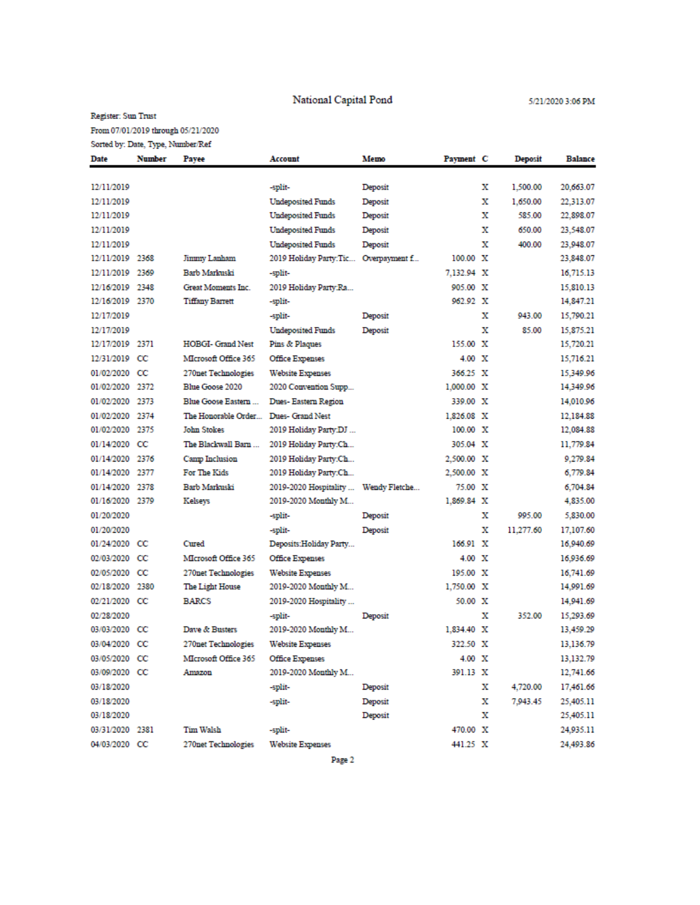National Capital Pond

#### Register: Sun Trust

From 07/01/2019 through  $05/21/2020\,$ 

| Date            | <b>Number</b> | Payee                      | Account                              | Memo          | Payment C     |   | Deposit   | <b>Balance</b> |
|-----------------|---------------|----------------------------|--------------------------------------|---------------|---------------|---|-----------|----------------|
|                 |               |                            |                                      |               |               |   |           |                |
| 12/11/2019      |               |                            | -split-                              | Deposit       |               | х | 1,500.00  | 20,663.07      |
| 12/11/2019      |               |                            | <b>Undeposited Funds</b>             | Deposit       |               | x | 1.650.00  | 22,313.07      |
| 12/11/2019      |               |                            | <b>Undeposited Funds</b>             | Deposit       |               | х | 585.00    | 22,898.07      |
| 12/11/2019      |               |                            | <b>Undeposited Funds</b>             | Deposit       |               | х | 650.00    | 23,548.07      |
| 12/11/2019      |               |                            | <b>Undeposited Funds</b>             | Deposit       |               | x | 400.00    | 23,948.07      |
| 12/11/2019      | 2368          | Jimmy Lanham               | 2019 Holiday Party:Tic               | Overpayment f | 100.00 X      |   |           | 23,848.07      |
| 12/11/2019      | 2369          | Barb Markuski              | -split-                              |               | 7,132.94 X    |   |           | 16,715.13      |
| 12/16/2019      | 2348          | Great Moments Inc.         | 2019 Holiday Party:Ra                |               | 905.00 X      |   |           | 15,810.13      |
| 12/16/2019 2370 |               | <b>Tiffany Barrett</b>     | -split-                              |               | 962.92 X      |   |           | 14,847.21      |
| 12/17/2019      |               |                            | -split-                              | Deposit       |               | х | 943.00    | 15,790.21      |
| 12/17/2019      |               |                            | <b>Undeposited Funds</b>             | Deposit       |               | х | 85.00     | 15,875.21      |
| 12/17/2019 2371 |               | <b>HOBGI- Grand Nest</b>   | Pins & Plaques                       |               | 155.00 X      |   |           | 15,720.21      |
| 12/31/2019      | $_{\rm cc}$   | MIcrosoft Office 365       | <b>Office Expenses</b>               |               | $4.00 \t X$   |   |           | 15,716.21      |
| 01/02/2020      | $_{\rm cc}$   | 270net Technologies        | <b>Website Expenses</b>              |               | 366.25 X      |   |           | 15,349.96      |
| 01/02/2020      | 2372          | Blue Goose 2020            | 2020 Convention Supp                 |               | 1,000.00 X    |   |           | 14,349.96      |
| 01/02/2020      | 2373          | Blue Goose Eastern         | Dues-Eastern Region                  |               | 339.00 X      |   |           | 14,010.96      |
| 01/02/2020      | 2374          | The Honorable Order        | Dues- Grand Nest                     |               | 1,826.08 X    |   |           | 12,184.88      |
| 01/02/2020      | 2375          | <b>John Stokes</b>         | 2019 Holiday Party:DJ                |               | 100.00 X      |   |           | 12,084.88      |
| 01/14/2020      | $_{\rm cc}$   | The Blackwall Barn         | 2019 Holiday Party:Ch                |               | 305.04 X      |   |           | 11,779.84      |
| 01/14/2020      | 2376          | Camp Inclusion             | 2019 Holiday Party:Ch                |               | 2,500.00 X    |   |           | 9,279.84       |
| 01/14/2020 2377 |               | For The Kids               | 2019 Holiday Party:Ch                |               | 2,500.00 X    |   |           | 6,779.84       |
| 01/14/2020 2378 |               | Barb Markuski              | 2019-2020 Hospitality  Wendy Fletche |               | 75.00 X       |   |           | 6,704.84       |
| 01/16/2020 2379 |               | Kelseys                    | 2019-2020 Monthly M                  |               | 1.869.84 X    |   |           | 4,835.00       |
| 01/20/2020      |               |                            | -split-                              | Deposit       |               | x | 995.00    | 5,830.00       |
| 01/20/2020      |               |                            | -split-                              | Deposit       |               | x | 11,277.60 | 17,107.60      |
| 01/24/2020 CC   |               | Cured                      | Deposits:Holiday Party               |               | 166.91 X      |   |           | 16,940.69      |
| 02/03/2020      | $_{\rm cc}$   | MIcrosoft Office 365       | <b>Office Expenses</b>               |               | $4.00 \times$ |   |           | 16,936.69      |
| 02/05/2020      | $_{\rm cc}$   | <b>270net Technologies</b> | <b>Website Expenses</b>              |               | 195.00 X      |   |           | 16,741.69      |
| 02/18/2020      | 2380          | The Light House            | 2019-2020 Monthly M                  |               | 1,750.00 X    |   |           | 14,991.69      |
| 02/21/2020 CC   |               | <b>BARCS</b>               | 2019-2020 Hospitality                |               | 50.00 X       |   |           | 14,941.69      |
| 02/28/2020      |               |                            | -split-                              | Deposit       |               | x | 352.00    | 15,293.69      |
| 03/03/2020      | $_{\rm cc}$   | Dave & Busters             | 2019-2020 Monthly M                  |               | 1,834.40 X    |   |           | 13,459.29      |
| 03/04/2020 CC   |               | 270net Technologies        | <b>Website Expenses</b>              |               | 322.50 X      |   |           | 13,136.79      |
| 03/05/2020 CC   |               | MIcrosoft Office 365       | <b>Office Expenses</b>               |               | 4.00 X        |   |           | 13,132.79      |
| 03/09/2020 CC   |               | Amazon                     | 2019-2020 Monthly M                  |               | 391.13 X      |   |           | 12,741.66      |
| 03/18/2020      |               |                            | -split-                              | Deposit       |               | x | 4,720.00  | 17,461.66      |
| 03/18/2020      |               |                            | -split-                              | Deposit       |               | х | 7.943.45  | 25,405.11      |
| 03/18/2020      |               |                            |                                      | Deposit       |               | х |           | 25,405.11      |
| 03/31/2020 2381 |               | Tim Walsh                  | -split-                              |               | 470.00 X      |   |           | 24,935.11      |
| 04/03/2020 CC   |               | 270net Technologies        | <b>Website Expenses</b>              |               | 441.25 X      |   |           | 24,493.86      |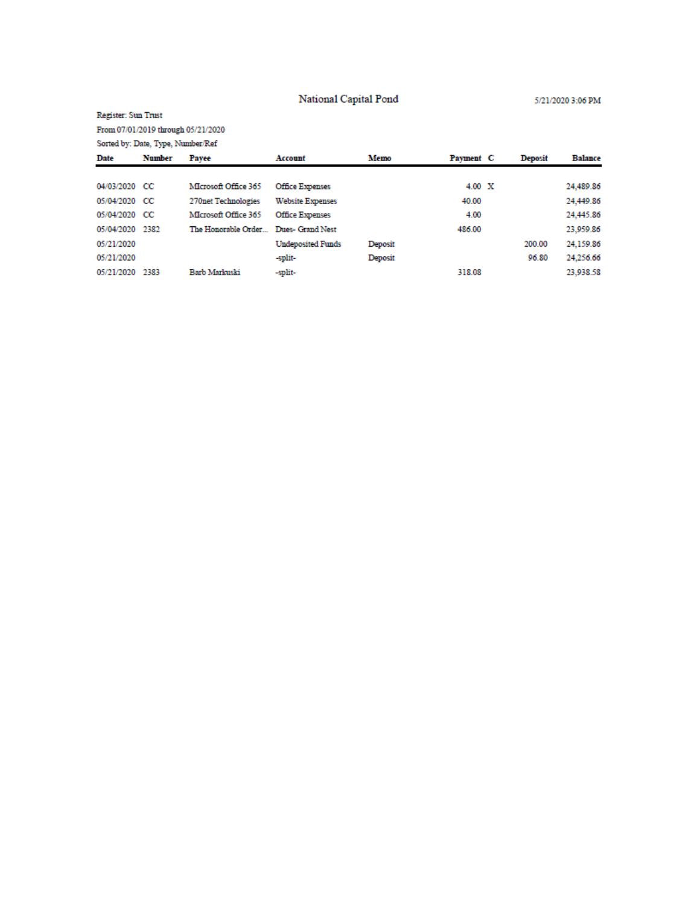National Capital Pond

5/21/2020 3:06 PM

## Register: Sun Trust

From 07/01/2019 through 05/21/2020

| Sorted by: Date, Type, Number/Ref |               |                      |                          |         |             |                |                |
|-----------------------------------|---------------|----------------------|--------------------------|---------|-------------|----------------|----------------|
| Date                              | <b>Number</b> | Payee                | Account                  | Memo    | Payment C   | <b>Deposit</b> | <b>Balance</b> |
|                                   |               |                      |                          |         |             |                |                |
| 04/03/2020 CC                     |               | MIcrosoft Office 365 | Office Expenses          |         | $4.00 \t X$ |                | 24,489.86      |
| 05/04/2020 CC                     |               | 270net Technologies  | <b>Website Expenses</b>  |         | 40.00       |                | 24,449.86      |
| 05/04/2020 CC                     |               | MIcrosoft Office 365 | <b>Office Expenses</b>   |         | 4.00        |                | 24,445.86      |
| 05/04/2020                        | 2382          | The Honorable Order  | Dues- Grand Nest         |         | 486.00      |                | 23,959.86      |
| 05/21/2020                        |               |                      | <b>Undeposited Funds</b> | Deposit |             | 200.00         | 24,159.86      |
| 05/21/2020                        |               |                      | -split-                  | Deposit |             | 96.80          | 24.256.66      |
| 05/21/2020                        | 2383          | <b>Barb Markuski</b> | -split-                  |         | 318.08      |                | 23.938.58      |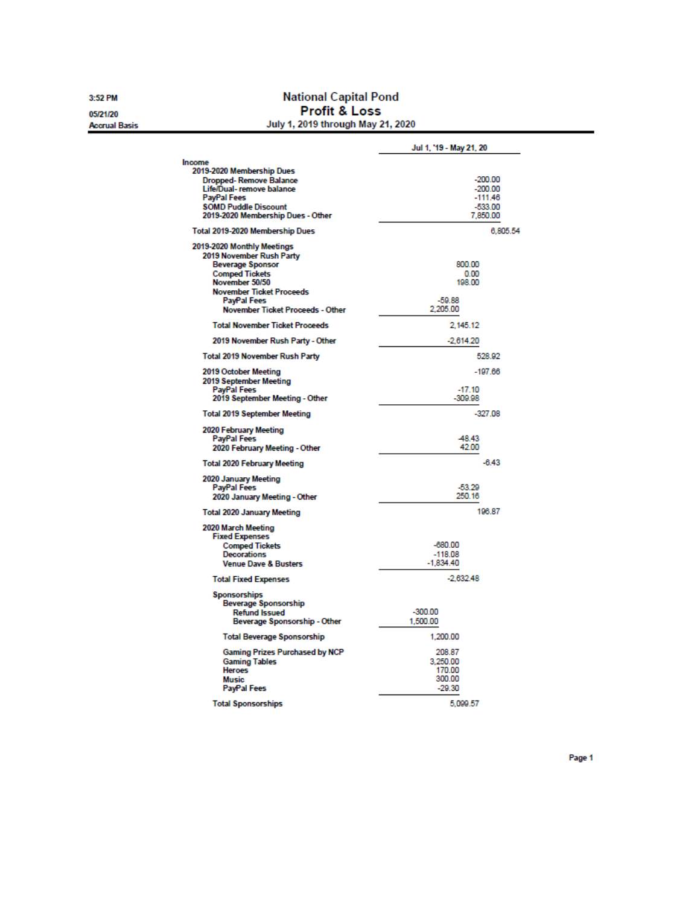3:52 PM 05/21/20

**Accrual Basis** 

**National Capital Pond Profit & Loss**<br>July 1, 2019 through May 21, 2020

|                                                                                                                                                                                                                    | Jul 1, '19 - May 21, 20                                      |
|--------------------------------------------------------------------------------------------------------------------------------------------------------------------------------------------------------------------|--------------------------------------------------------------|
| Income<br>2019-2020 Membership Dues<br>Dropped-Remove Balance<br>Life/Dual- remove balance<br><b>PayPal Fees</b><br><b>SOMD Puddle Discount</b><br>2019-2020 Membership Dues - Other                               | $-200.00$<br>$-200.00$<br>$-111.46$<br>$-533.00$<br>7,850.00 |
| Total 2019-2020 Membership Dues                                                                                                                                                                                    | 6,805.54                                                     |
| 2019-2020 Monthly Meetings<br>2019 November Rush Party<br><b>Beverage Sponsor</b><br><b>Comped Tickets</b><br>November 50/50<br><b>November Ticket Proceeds</b><br>PayPal Fees<br>November Ticket Proceeds - Other | 800.00<br>0.00<br>198.00<br>$-59.88$<br>2,205.00             |
| <b>Total November Ticket Proceeds</b>                                                                                                                                                                              | 2.145.12                                                     |
| 2019 November Rush Party - Other                                                                                                                                                                                   | $-2,614.20$                                                  |
| <b>Total 2019 November Rush Party</b>                                                                                                                                                                              | 528.92                                                       |
| 2019 October Meeting<br>2019 September Meeting<br>PayPal Fees<br>2019 September Meeting - Other                                                                                                                    | $-197.66$<br>$-17.10$<br>$-309.98$                           |
| <b>Total 2019 September Meeting</b>                                                                                                                                                                                | $-327.08$                                                    |
| 2020 February Meeting<br>PayPal Fees<br>2020 February Meeting - Other                                                                                                                                              | -48.43<br>42.00                                              |
| <b>Total 2020 February Meeting</b>                                                                                                                                                                                 | $-6.43$                                                      |
| 2020 January Meeting<br>PayPal Fees<br>2020 January Meeting - Other                                                                                                                                                | $-53.29$<br>250.16                                           |
| <b>Total 2020 January Meeting</b>                                                                                                                                                                                  | 196.87                                                       |
| 2020 March Meeting<br><b>Fixed Expenses</b><br><b>Comped Tickets</b><br><b>Decorations</b><br><b>Venue Dave &amp; Busters</b>                                                                                      | $-680.00$<br>$-118.08$<br>$-1,834.40$                        |
| <b>Total Fixed Expenses</b>                                                                                                                                                                                        | $-2.632.48$                                                  |
| <b>Sponsorships</b><br><b>Beverage Sponsorship</b><br><b>Refund Issued</b><br>Beverage Sponsorship - Other                                                                                                         | $-300.00$<br>1,500.00                                        |
| <b>Total Beverage Sponsorship</b>                                                                                                                                                                                  | 1,200.00                                                     |
| <b>Gaming Prizes Purchased by NCP</b><br><b>Gaming Tables</b><br><b>Heroes</b><br><b>Music</b><br>PayPal Fees                                                                                                      | 208.87<br>3.250.00<br>170.00<br>300.00<br>$-29.30$           |
| <b>Total Sponsorships</b>                                                                                                                                                                                          | 5,099.57                                                     |

Page 1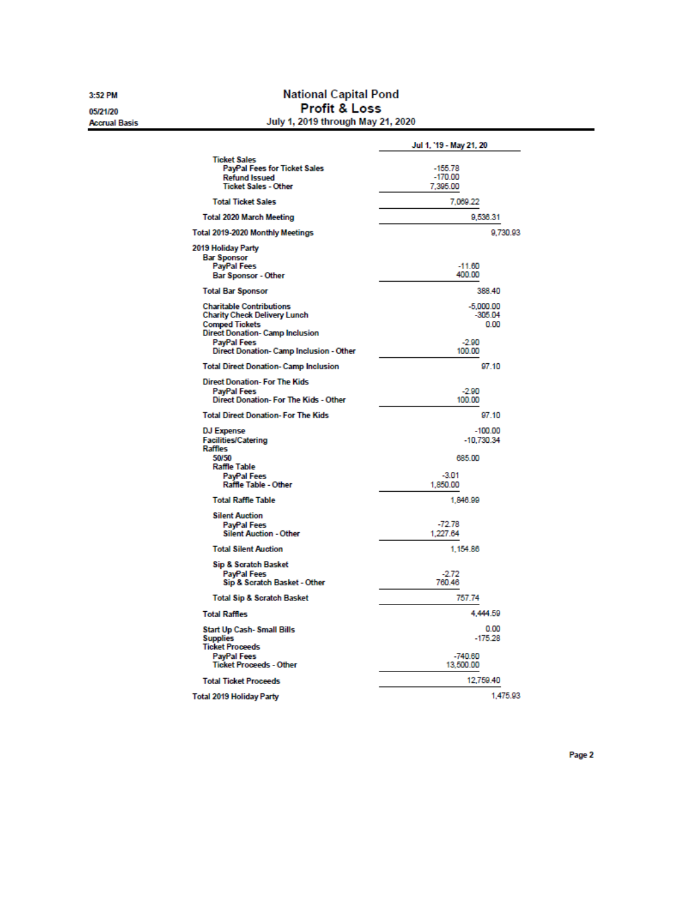3:52 PM 05/21/20

**Accrual Basis** 

**National Capital Pond** Profit & Loss July 1, 2019 through May 21, 2020

|                                                                                                                                                                                                            | Jul 1, '19 - May 21, 20                               |
|------------------------------------------------------------------------------------------------------------------------------------------------------------------------------------------------------------|-------------------------------------------------------|
| <b>Ticket Sales</b><br><b>PayPal Fees for Ticket Sales</b><br><b>Refund Issued</b><br><b>Ticket Sales - Other</b>                                                                                          | $-155.78$<br>$-170.00$<br>7,395.00                    |
| <b>Total Ticket Sales</b>                                                                                                                                                                                  | 7,069.22                                              |
| <b>Total 2020 March Meeting</b>                                                                                                                                                                            | 9,536.31                                              |
| Total 2019-2020 Monthly Meetings                                                                                                                                                                           | 9,730.93                                              |
| 2019 Holiday Party<br><b>Bar Sponsor</b><br>PayPal Fees<br><b>Bar Sponsor - Other</b>                                                                                                                      | $-11.60$<br>400.00                                    |
| <b>Total Bar Sponsor</b>                                                                                                                                                                                   | 388.40                                                |
| <b>Charitable Contributions</b><br><b>Charity Check Delivery Lunch</b><br><b>Comped Tickets</b><br><b>Direct Donation- Camp Inclusion</b><br><b>PayPal Fees</b><br>Direct Donation- Camp Inclusion - Other | $-5,000.00$<br>$-305.04$<br>0.00<br>$-2.90$<br>100.00 |
| <b>Total Direct Donation- Camp Inclusion</b>                                                                                                                                                               | 97.10                                                 |
| <b>Direct Donation- For The Kids</b><br><b>PayPal Fees</b><br>Direct Donation- For The Kids - Other                                                                                                        | $-2.90$<br>100.00                                     |
| <b>Total Direct Donation-For The Kids</b>                                                                                                                                                                  | 97.10                                                 |
| <b>DJ Expense</b><br><b>Facilities/Catering</b><br><b>Raffles</b><br>50/50<br><b>Raffle Table</b><br>PayPal Fees                                                                                           | $-100.00$<br>$-10.730.34$<br>685.00<br>$-3.01$        |
| <b>Raffle Table - Other</b>                                                                                                                                                                                | 1,850.00                                              |
| <b>Total Raffle Table</b>                                                                                                                                                                                  | 1,846.99                                              |
| <b>Silent Auction</b><br>PayPal Fees<br><b>Silent Auction - Other</b>                                                                                                                                      | $-72.78$<br>1,227.64                                  |
| <b>Total Silent Auction</b>                                                                                                                                                                                | 1,154.86                                              |
| <b>Sip &amp; Scratch Basket</b><br>PayPal Fees<br>Sip & Scratch Basket - Other                                                                                                                             | $-2.72$<br>760.46                                     |
| <b>Total Sip &amp; Scratch Basket</b>                                                                                                                                                                      | 757.74                                                |
| <b>Total Raffles</b>                                                                                                                                                                                       | 4,444.59                                              |
| <b>Start Up Cash- Small Bills</b><br><b>Supplies</b><br><b>Ticket Proceeds</b><br>PayPal Fees<br><b>Ticket Proceeds - Other</b>                                                                            | 0.00<br>$-175.28$<br>$-740.60$<br>13,500.00           |
| <b>Total Ticket Proceeds</b>                                                                                                                                                                               | 12,759.40                                             |
| <b>Total 2019 Holiday Party</b>                                                                                                                                                                            | 1,475.93                                              |

Page 2